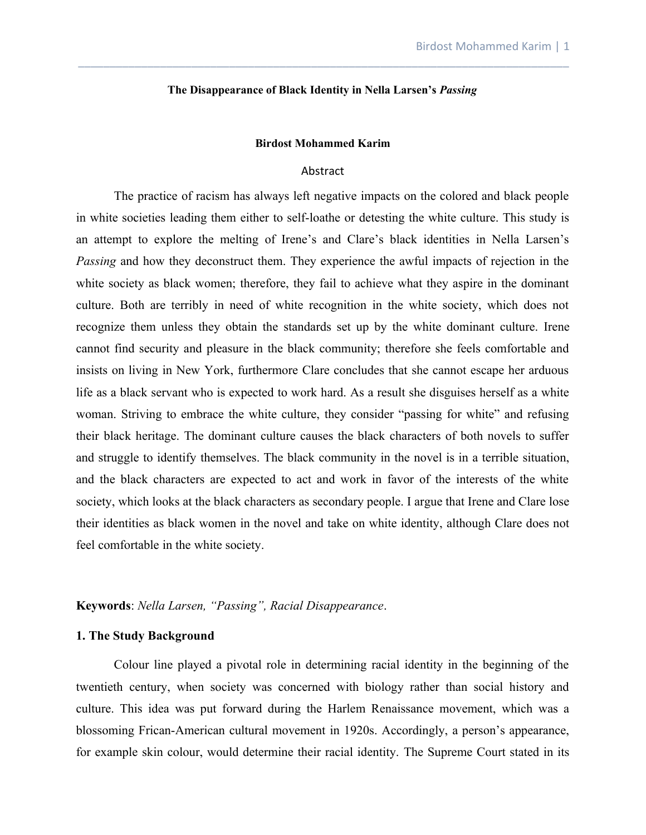#### **The Disappearance of Black Identity in Nella Larsen's** *Passing*

\_\_\_\_\_\_\_\_\_\_\_\_\_\_\_\_\_\_\_\_\_\_\_\_\_\_\_\_\_\_\_\_\_\_\_\_\_\_\_\_\_\_\_\_\_\_\_\_\_\_\_\_\_\_\_\_\_\_\_\_\_\_\_\_\_\_\_\_\_\_\_\_\_\_\_\_\_\_

#### **Birdost Mohammed Karim**

#### Abstract

The practice of racism has always left negative impacts on the colored and black people in white societies leading them either to self-loathe or detesting the white culture. This study is an attempt to explore the melting of Irene's and Clare's black identities in Nella Larsen's *Passing* and how they deconstruct them. They experience the awful impacts of rejection in the white society as black women; therefore, they fail to achieve what they aspire in the dominant culture. Both are terribly in need of white recognition in the white society, which does not recognize them unless they obtain the standards set up by the white dominant culture. Irene cannot find security and pleasure in the black community; therefore she feels comfortable and insists on living in New York, furthermore Clare concludes that she cannot escape her arduous life as a black servant who is expected to work hard. As a result she disguises herself as a white woman. Striving to embrace the white culture, they consider "passing for white" and refusing their black heritage. The dominant culture causes the black characters of both novels to suffer and struggle to identify themselves. The black community in the novel is in a terrible situation, and the black characters are expected to act and work in favor of the interests of the white society, which looks at the black characters as secondary people. I argue that Irene and Clare lose their identities as black women in the novel and take on white identity, although Clare does not feel comfortable in the white society.

# **Keywords**: *Nella Larsen, "Passing", Racial Disappearance*.

# **1. The Study Background**

Colour line played a pivotal role in determining racial identity in the beginning of the twentieth century, when society was concerned with biology rather than social history and culture. This idea was put forward during the Harlem Renaissance movement, which was a blossoming Frican-American cultural movement in 1920s. Accordingly, a person's appearance, for example skin colour, would determine their racial identity. The Supreme Court stated in its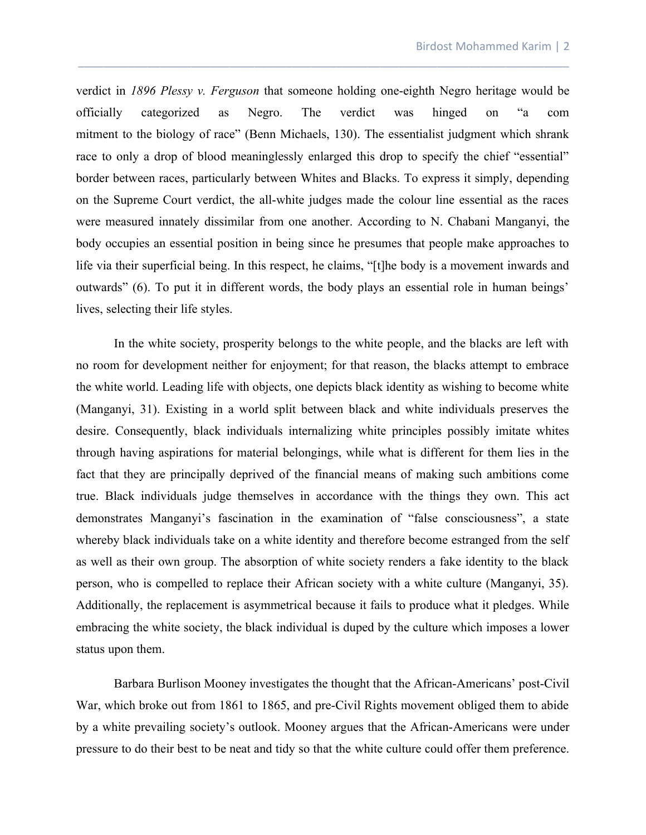verdict in *1896 Plessy v. Ferguson* that someone holding one-eighth Negro heritage would be officially categorized as Negro. The verdict was hinged on "a com mitment to the biology of race" (Benn Michaels, 130). The essentialist judgment which shrank race to only a drop of blood meaninglessly enlarged this drop to specify the chief "essential" border between races, particularly between Whites and Blacks. To express it simply, depending on the Supreme Court verdict, the all-white judges made the colour line essential as the races were measured innately dissimilar from one another. According to N. Chabani Manganyi, the body occupies an essential position in being since he presumes that people make approaches to life via their superficial being. In this respect, he claims, "[t]he body is a movement inwards and outwards" (6). To put it in different words, the body plays an essential role in human beings' lives, selecting their life styles.

\_\_\_\_\_\_\_\_\_\_\_\_\_\_\_\_\_\_\_\_\_\_\_\_\_\_\_\_\_\_\_\_\_\_\_\_\_\_\_\_\_\_\_\_\_\_\_\_\_\_\_\_\_\_\_\_\_\_\_\_\_\_\_\_\_\_\_\_\_\_\_\_\_\_\_\_\_\_

In the white society, prosperity belongs to the white people, and the blacks are left with no room for development neither for enjoyment; for that reason, the blacks attempt to embrace the white world. Leading life with objects, one depicts black identity as wishing to become white (Manganyi, 31). Existing in a world split between black and white individuals preserves the desire. Consequently, black individuals internalizing white principles possibly imitate whites through having aspirations for material belongings, while what is different for them lies in the fact that they are principally deprived of the financial means of making such ambitions come true. Black individuals judge themselves in accordance with the things they own. This act demonstrates Manganyi's fascination in the examination of "false consciousness", a state whereby black individuals take on a white identity and therefore become estranged from the self as well as their own group. The absorption of white society renders a fake identity to the black person, who is compelled to replace their African society with a white culture (Manganyi, 35). Additionally, the replacement is asymmetrical because it fails to produce what it pledges. While embracing the white society, the black individual is duped by the culture which imposes a lower status upon them.

Barbara Burlison Mooney investigates the thought that the African-Americans' post-Civil War, which broke out from 1861 to 1865, and pre-Civil Rights movement obliged them to abide by a white prevailing society's outlook. Mooney argues that the African-Americans were under pressure to do their best to be neat and tidy so that the white culture could offer them preference.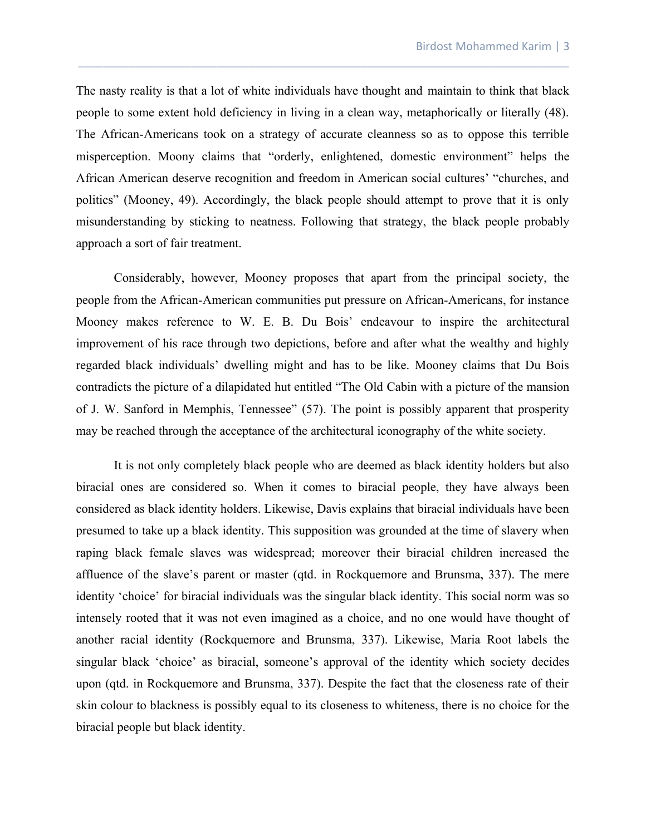The nasty reality is that a lot of white individuals have thought and maintain to think that black people to some extent hold deficiency in living in a clean way, metaphorically or literally (48). The African-Americans took on a strategy of accurate cleanness so as to oppose this terrible misperception. Moony claims that "orderly, enlightened, domestic environment" helps the African American deserve recognition and freedom in American social cultures' "churches, and politics" (Mooney, 49). Accordingly, the black people should attempt to prove that it is only misunderstanding by sticking to neatness. Following that strategy, the black people probably approach a sort of fair treatment.

\_\_\_\_\_\_\_\_\_\_\_\_\_\_\_\_\_\_\_\_\_\_\_\_\_\_\_\_\_\_\_\_\_\_\_\_\_\_\_\_\_\_\_\_\_\_\_\_\_\_\_\_\_\_\_\_\_\_\_\_\_\_\_\_\_\_\_\_\_\_\_\_\_\_\_\_\_\_

Considerably, however, Mooney proposes that apart from the principal society, the people from the African-American communities put pressure on African-Americans, for instance Mooney makes reference to W. E. B. Du Bois' endeavour to inspire the architectural improvement of his race through two depictions, before and after what the wealthy and highly regarded black individuals' dwelling might and has to be like. Mooney claims that Du Bois contradicts the picture of a dilapidated hut entitled "The Old Cabin with a picture of the mansion of J. W. Sanford in Memphis, Tennessee" (57). The point is possibly apparent that prosperity may be reached through the acceptance of the architectural iconography of the white society.

It is not only completely black people who are deemed as black identity holders but also biracial ones are considered so. When it comes to biracial people, they have always been considered as black identity holders. Likewise, Davis explains that biracial individuals have been presumed to take up a black identity. This supposition was grounded at the time of slavery when raping black female slaves was widespread; moreover their biracial children increased the affluence of the slave's parent or master (qtd. in Rockquemore and Brunsma, 337). The mere identity 'choice' for biracial individuals was the singular black identity. This social norm was so intensely rooted that it was not even imagined as a choice, and no one would have thought of another racial identity (Rockquemore and Brunsma, 337). Likewise, Maria Root labels the singular black 'choice' as biracial, someone's approval of the identity which society decides upon (qtd. in Rockquemore and Brunsma, 337). Despite the fact that the closeness rate of their skin colour to blackness is possibly equal to its closeness to whiteness, there is no choice for the biracial people but black identity.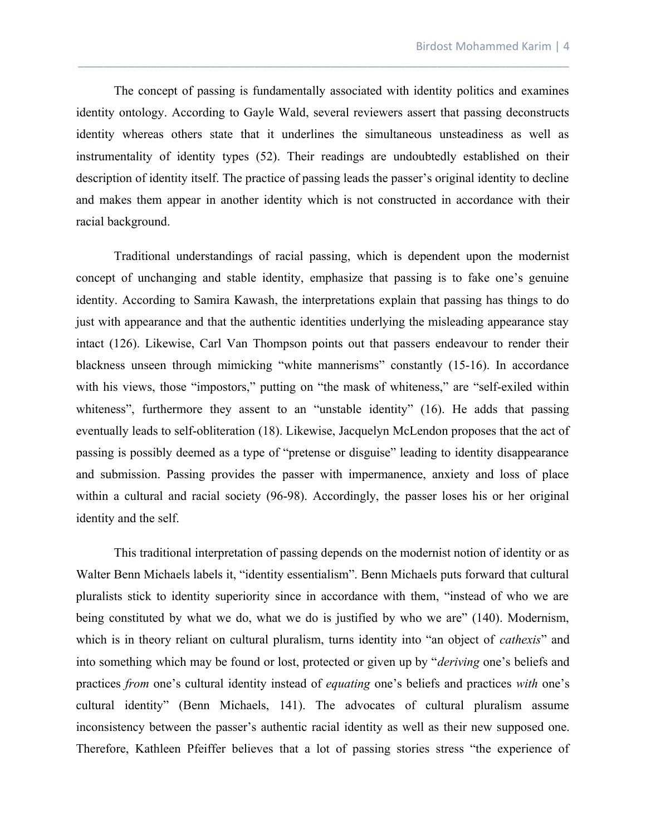The concept of passing is fundamentally associated with identity politics and examines identity ontology. According to Gayle Wald, several reviewers assert that passing deconstructs identity whereas others state that it underlines the simultaneous unsteadiness as well as instrumentality of identity types (52). Their readings are undoubtedly established on their description of identity itself. The practice of passing leads the passer's original identity to decline and makes them appear in another identity which is not constructed in accordance with their racial background.

\_\_\_\_\_\_\_\_\_\_\_\_\_\_\_\_\_\_\_\_\_\_\_\_\_\_\_\_\_\_\_\_\_\_\_\_\_\_\_\_\_\_\_\_\_\_\_\_\_\_\_\_\_\_\_\_\_\_\_\_\_\_\_\_\_\_\_\_\_\_\_\_\_\_\_\_\_\_

Traditional understandings of racial passing, which is dependent upon the modernist concept of unchanging and stable identity, emphasize that passing is to fake one's genuine identity. According to Samira Kawash, the interpretations explain that passing has things to do just with appearance and that the authentic identities underlying the misleading appearance stay intact (126). Likewise, Carl Van Thompson points out that passers endeavour to render their blackness unseen through mimicking "white mannerisms" constantly (15-16). In accordance with his views, those "impostors," putting on "the mask of whiteness," are "self-exiled within whiteness", furthermore they assent to an "unstable identity" (16). He adds that passing eventually leads to self-obliteration (18). Likewise, Jacquelyn McLendon proposes that the act of passing is possibly deemed as a type of "pretense or disguise" leading to identity disappearance and submission. Passing provides the passer with impermanence, anxiety and loss of place within a cultural and racial society (96-98). Accordingly, the passer loses his or her original identity and the self.

This traditional interpretation of passing depends on the modernist notion of identity or as Walter Benn Michaels labels it, "identity essentialism". Benn Michaels puts forward that cultural pluralists stick to identity superiority since in accordance with them, "instead of who we are being constituted by what we do, what we do is justified by who we are" (140). Modernism, which is in theory reliant on cultural pluralism, turns identity into "an object of *cathexis*" and into something which may be found or lost, protected or given up by "*deriving* one's beliefs and practices *from* one's cultural identity instead of *equating* one's beliefs and practices *with* one's cultural identity" (Benn Michaels, 141). The advocates of cultural pluralism assume inconsistency between the passer's authentic racial identity as well as their new supposed one. Therefore, Kathleen Pfeiffer believes that a lot of passing stories stress "the experience of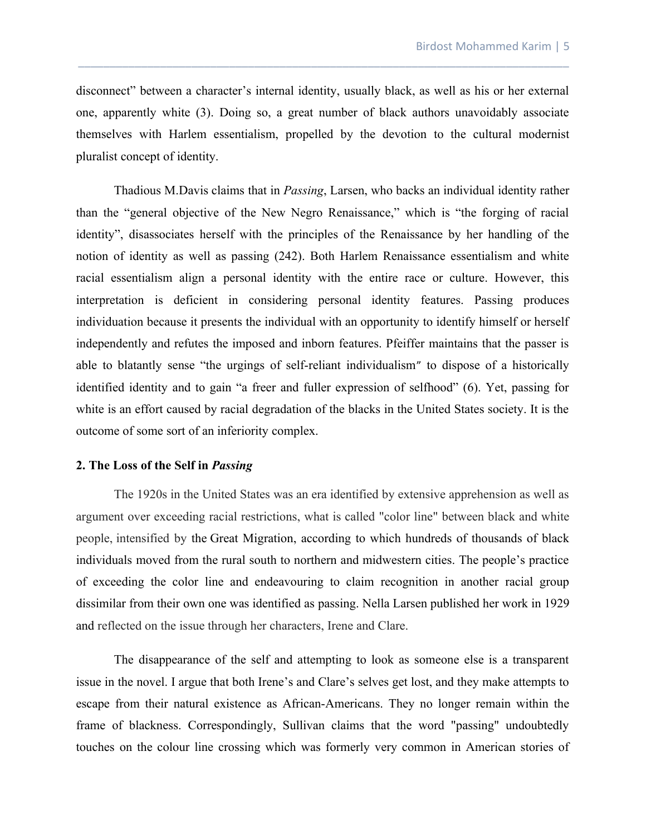disconnect" between a character's internal identity, usually black, as well as his or her external one, apparently white (3). Doing so, a great number of black authors unavoidably associate themselves with Harlem essentialism, propelled by the devotion to the cultural modernist pluralist concept of identity.

\_\_\_\_\_\_\_\_\_\_\_\_\_\_\_\_\_\_\_\_\_\_\_\_\_\_\_\_\_\_\_\_\_\_\_\_\_\_\_\_\_\_\_\_\_\_\_\_\_\_\_\_\_\_\_\_\_\_\_\_\_\_\_\_\_\_\_\_\_\_\_\_\_\_\_\_\_\_

Thadious M.Davis claims that in *Passing*, Larsen, who backs an individual identity rather than the "general objective of the New Negro Renaissance," which is "the forging of racial identity", disassociates herself with the principles of the Renaissance by her handling of the notion of identity as well as passing (242). Both Harlem Renaissance essentialism and white racial essentialism align a personal identity with the entire race or culture. However, this interpretation is deficient in considering personal identity features. Passing produces individuation because it presents the individual with an opportunity to identify himself or herself independently and refutes the imposed and inborn features. Pfeiffer maintains that the passer is able to blatantly sense "the urgings of self-reliant individualism" to dispose of a historically identified identity and to gain "a freer and fuller expression of selfhood" (6). Yet, passing for white is an effort caused by racial degradation of the blacks in the United States society. It is the outcome of some sort of an inferiority complex.

# **2. The Loss of the Self in** *Passing*

The 1920s in the United States was an era identified by extensive apprehension as well as argument over exceeding racial restrictions, what is called "color line" between black and white people, intensified by the [Great Migration](https://en.wikipedia.org/wiki/Great_Migration_(African_American)), according to which hundreds of thousands of black individuals moved from the rural south to northern and midwestern cities. The people's practice of exceeding the color line and endeavouring to claim recognition in another racial group dissimilar from their own one was identified as [passing](https://en.wikipedia.org/wiki/Passing_(racial_identity)). Nella Larsen published her work in 1929 and reflected on the issue through her characters, Irene and Clare.

The disappearance of the self and attempting to look as someone else is a transparent issue in the novel. I argue that both Irene's and Clare's selves get lost, and they make attempts to escape from their natural existence as African-Americans. They no longer remain within the frame of blackness. Correspondingly, Sullivan claims that the word "passing" undoubtedly touches on the colour line crossing which was formerly very common in American stories of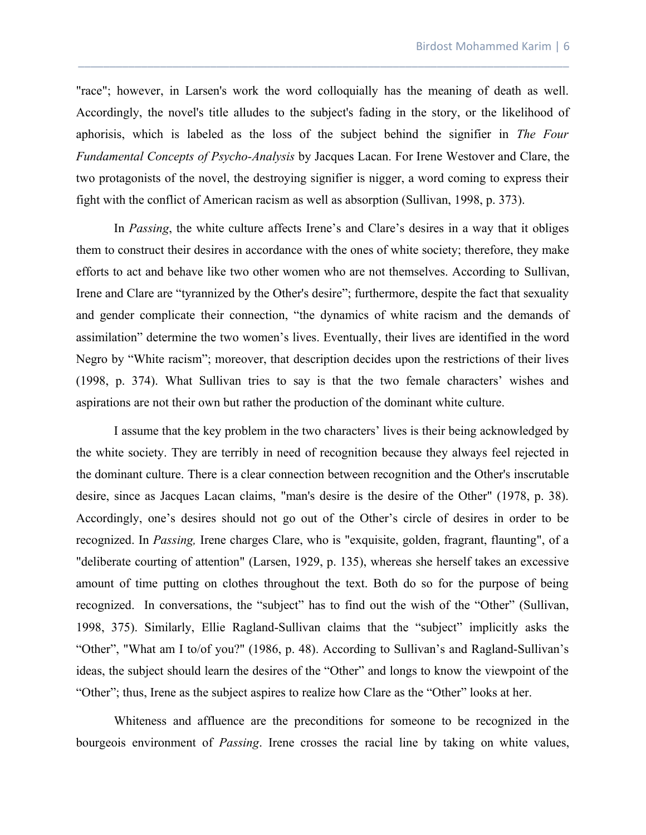"race"; however, in Larsen's work the word colloquially has the meaning of death as well. Accordingly, the novel's title alludes to the subject's fading in the story, or the likelihood of aphorisis, which is labeled as the loss of the subject behind the signifier in *The Four Fundamental Concepts of Psycho-Analysis* by Jacques Lacan. For Irene Westover and Clare, the two protagonists of the novel, the destroying signifier is nigger, a word coming to express their fight with the conflict of American racism as well as absorption (Sullivan, 1998, p. 373).

\_\_\_\_\_\_\_\_\_\_\_\_\_\_\_\_\_\_\_\_\_\_\_\_\_\_\_\_\_\_\_\_\_\_\_\_\_\_\_\_\_\_\_\_\_\_\_\_\_\_\_\_\_\_\_\_\_\_\_\_\_\_\_\_\_\_\_\_\_\_\_\_\_\_\_\_\_\_

In *Passing*, the white culture affects Irene's and Clare's desires in a way that it obliges them to construct their desires in accordance with the ones of white society; therefore, they make efforts to act and behave like two other women who are not themselves. According to Sullivan, Irene and Clare are "tyrannized by the Other's desire"; furthermore, despite the fact that sexuality and gender complicate their connection, "the dynamics of white racism and the demands of assimilation" determine the two women's lives. Eventually, their lives are identified in the word Negro by "White racism"; moreover, that description decides upon the restrictions of their lives (1998, p. 374). What Sullivan tries to say is that the two female characters' wishes and aspirations are not their own but rather the production of the dominant white culture.

I assume that the key problem in the two characters' lives is their being acknowledged by the white society. They are terribly in need of recognition because they always feel rejected in the dominant culture. There is a clear connection between recognition and the Other's inscrutable desire, since as Jacques Lacan claims, "man's desire is the desire of the Other" (1978, p. 38). Accordingly, one's desires should not go out of the Other's circle of desires in order to be recognized. In *Passing,* Irene charges Clare, who is "exquisite, golden, fragrant, flaunting", of a "deliberate courting of attention" (Larsen, 1929, p. 135), whereas she herself takes an excessive amount of time putting on clothes throughout the text. Both do so for the purpose of being recognized. In conversations, the "subject" has to find out the wish of the "Other" (Sullivan, 1998, 375). Similarly, Ellie Ragland-Sullivan claims that the "subject" implicitly asks the "Other", "What am I to/of you?" (1986, p. 48). According to Sullivan's and Ragland-Sullivan's ideas, the subject should learn the desires of the "Other" and longs to know the viewpoint of the "Other"; thus, Irene as the subject aspires to realize how Clare as the "Other" looks at her.

Whiteness and affluence are the preconditions for someone to be recognized in the bourgeois environment of *Passing*. Irene crosses the racial line by taking on white values,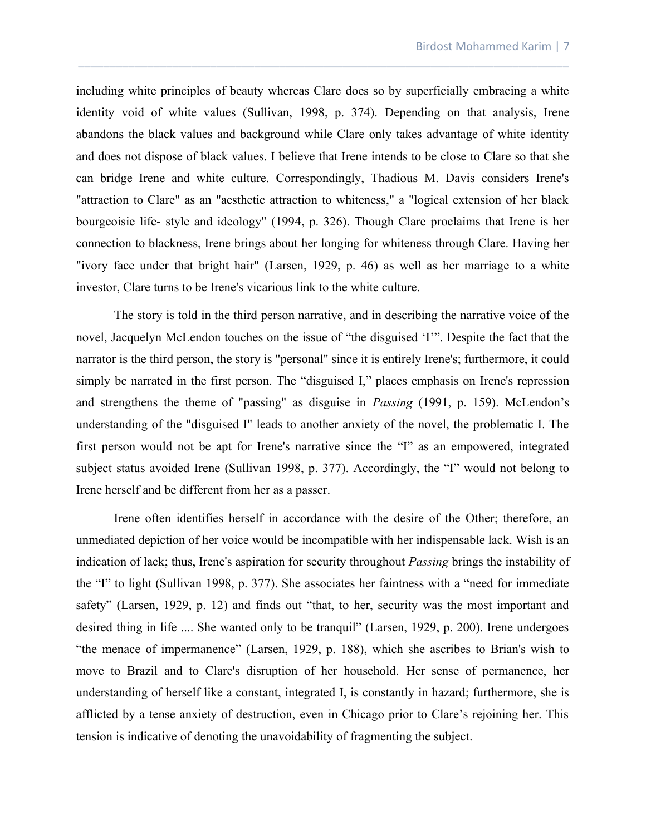including white principles of beauty whereas Clare does so by superficially embracing a white identity void of white values (Sullivan, 1998, p. 374). Depending on that analysis, Irene abandons the black values and background while Clare only takes advantage of white identity and does not dispose of black values. I believe that Irene intends to be close to Clare so that she can bridge Irene and white culture. Correspondingly, Thadious M. Davis considers Irene's "attraction to Clare" as an "aesthetic attraction to whiteness," a "logical extension of her black bourgeoisie life- style and ideology" (1994, p. 326). Though Clare proclaims that Irene is her connection to blackness, Irene brings about her longing for whiteness through Clare. Having her "ivory face under that bright hair" (Larsen, 1929, p. 46) as well as her marriage to a white investor, Clare turns to be Irene's vicarious link to the white culture.

\_\_\_\_\_\_\_\_\_\_\_\_\_\_\_\_\_\_\_\_\_\_\_\_\_\_\_\_\_\_\_\_\_\_\_\_\_\_\_\_\_\_\_\_\_\_\_\_\_\_\_\_\_\_\_\_\_\_\_\_\_\_\_\_\_\_\_\_\_\_\_\_\_\_\_\_\_\_

The story is told in the third person narrative, and in describing the narrative voice of the novel, Jacquelyn McLendon touches on the issue of "the disguised 'I'". Despite the fact that the narrator is the third person, the story is "personal" since it is entirely Irene's; furthermore, it could simply be narrated in the first person. The "disguised I," places emphasis on Irene's repression and strengthens the theme of "passing" as disguise in *Passing* (1991, p. 159). McLendon's understanding of the "disguised I" leads to another anxiety of the novel, the problematic I. The first person would not be apt for Irene's narrative since the "I" as an empowered, integrated subject status avoided Irene (Sullivan 1998, p. 377). Accordingly, the "I" would not belong to Irene herself and be different from her as a passer.

Irene often identifies herself in accordance with the desire of the Other; therefore, an unmediated depiction of her voice would be incompatible with her indispensable lack. Wish is an indication of lack; thus, Irene's aspiration for security throughout *Passing* brings the instability of the "I" to light (Sullivan 1998, p. 377). She associates her faintness with a "need for immediate safety" (Larsen, 1929, p. 12) and finds out "that, to her, security was the most important and desired thing in life .... She wanted only to be tranquil" (Larsen, 1929, p. 200). Irene undergoes "the menace of impermanence" (Larsen, 1929, p. 188), which she ascribes to Brian's wish to move to Brazil and to Clare's disruption of her household. Her sense of permanence, her understanding of herself like a constant, integrated I, is constantly in hazard; furthermore, she is afflicted by a tense anxiety of destruction, even in Chicago prior to Clare's rejoining her. This tension is indicative of denoting the unavoidability of fragmenting the subject.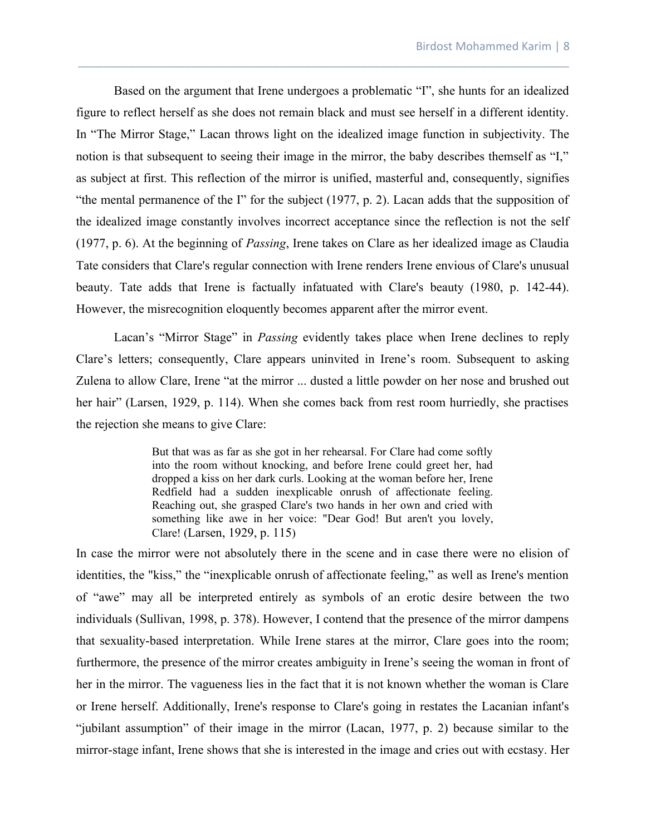Based on the argument that Irene undergoes a problematic "I", she hunts for an idealized figure to reflect herself as she does not remain black and must see herself in a different identity. In "The Mirror Stage," Lacan throws light on the idealized image function in subjectivity. The notion is that subsequent to seeing their image in the mirror, the baby describes themself as "I," as subject at first. This reflection of the mirror is unified, masterful and, consequently, signifies "the mental permanence of the I" for the subject (1977, p. 2). Lacan adds that the supposition of the idealized image constantly involves incorrect acceptance since the reflection is not the self (1977, p. 6). At the beginning of *Passing*, Irene takes on Clare as her idealized image as Claudia Tate considers that Clare's regular connection with Irene renders Irene envious of Clare's unusual beauty. Tate adds that Irene is factually infatuated with Clare's beauty (1980, p. 142-44). However, the misrecognition eloquently becomes apparent after the mirror event.

\_\_\_\_\_\_\_\_\_\_\_\_\_\_\_\_\_\_\_\_\_\_\_\_\_\_\_\_\_\_\_\_\_\_\_\_\_\_\_\_\_\_\_\_\_\_\_\_\_\_\_\_\_\_\_\_\_\_\_\_\_\_\_\_\_\_\_\_\_\_\_\_\_\_\_\_\_\_

Lacan's "Mirror Stage" in *Passing* evidently takes place when Irene declines to reply Clare's letters; consequently, Clare appears uninvited in Irene's room. Subsequent to asking Zulena to allow Clare, Irene "at the mirror ... dusted a little powder on her nose and brushed out her hair" (Larsen, 1929, p. 114). When she comes back from rest room hurriedly, she practises the rejection she means to give Clare:

> But that was as far as she got in her rehearsal. For Clare had come softly into the room without knocking, and before Irene could greet her, had dropped a kiss on her dark curls. Looking at the woman before her, Irene Redfield had a sudden inexplicable onrush of affectionate feeling. Reaching out, she grasped Clare's two hands in her own and cried with something like awe in her voice: "Dear God! But aren't you lovely, Clare! (Larsen, 1929, p. 115)

In case the mirror were not absolutely there in the scene and in case there were no elision of identities, the "kiss," the "inexplicable onrush of affectionate feeling," as well as Irene's mention of "awe" may all be interpreted entirely as symbols of an erotic desire between the two individuals (Sullivan, 1998, p. 378). However, I contend that the presence of the mirror dampens that sexuality-based interpretation. While Irene stares at the mirror, Clare goes into the room; furthermore, the presence of the mirror creates ambiguity in Irene's seeing the woman in front of her in the mirror. The vagueness lies in the fact that it is not known whether the woman is Clare or Irene herself. Additionally, Irene's response to Clare's going in restates the Lacanian infant's "jubilant assumption" of their image in the mirror (Lacan, 1977, p. 2) because similar to the mirror-stage infant, Irene shows that she is interested in the image and cries out with ecstasy. Her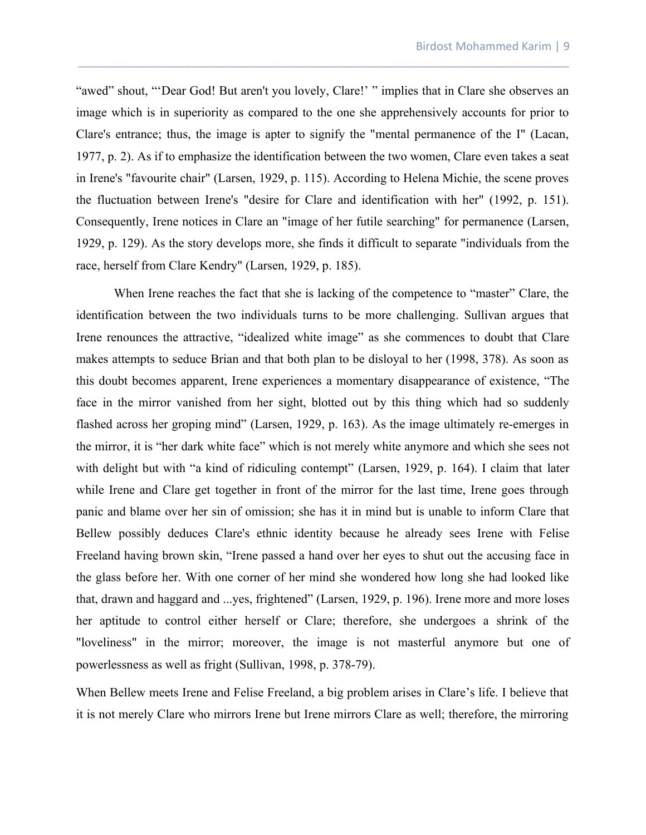"awed" shout, "'Dear God! But aren't you lovely, Clare!' " implies that in Clare she observes an image which is in superiority as compared to the one she apprehensively accounts for prior to Clare's entrance; thus, the image is apter to signify the "mental permanence of the I" (Lacan, 1977, p. 2). As if to emphasize the identification between the two women, Clare even takes a seat in Irene's "favourite chair" (Larsen, 1929, p. 115). According to Helena Michie, the scene proves the fluctuation between Irene's "desire for Clare and identification with her" (1992, p. 151). Consequently, Irene notices in Clare an "image of her futile searching" for permanence (Larsen, 1929, p. 129). As the story develops more, she finds it difficult to separate "individuals from the race, herself from Clare Kendry" (Larsen, 1929, p. 185).

\_\_\_\_\_\_\_\_\_\_\_\_\_\_\_\_\_\_\_\_\_\_\_\_\_\_\_\_\_\_\_\_\_\_\_\_\_\_\_\_\_\_\_\_\_\_\_\_\_\_\_\_\_\_\_\_\_\_\_\_\_\_\_\_\_\_\_\_\_\_\_\_\_\_\_\_\_\_

When Irene reaches the fact that she is lacking of the competence to "master" Clare, the identification between the two individuals turns to be more challenging. Sullivan argues that Irene renounces the attractive, "idealized white image" as she commences to doubt that Clare makes attempts to seduce Brian and that both plan to be disloyal to her (1998, 378). As soon as this doubt becomes apparent, Irene experiences a momentary disappearance of existence, "The face in the mirror vanished from her sight, blotted out by this thing which had so suddenly flashed across her groping mind" (Larsen, 1929, p. 163). As the image ultimately re-emerges in the mirror, it is "her dark white face" which is not merely white anymore and which she sees not with delight but with "a kind of ridiculing contempt" (Larsen, 1929, p. 164). I claim that later while Irene and Clare get together in front of the mirror for the last time, Irene goes through panic and blame over her sin of omission; she has it in mind but is unable to inform Clare that Bellew possibly deduces Clare's ethnic identity because he already sees Irene with Felise Freeland having brown skin, "Irene passed a hand over her eyes to shut out the accusing face in the glass before her. With one corner of her mind she wondered how long she had looked like that, drawn and haggard and ...yes, frightened" (Larsen, 1929, p. 196). Irene more and more loses her aptitude to control either herself or Clare; therefore, she undergoes a shrink of the "loveliness" in the mirror; moreover, the image is not masterful anymore but one of powerlessness as well as fright (Sullivan, 1998, p. 378-79).

When Bellew meets Irene and Felise Freeland, a big problem arises in Clare's life. I believe that it is not merely Clare who mirrors Irene but Irene mirrors Clare as well; therefore, the mirroring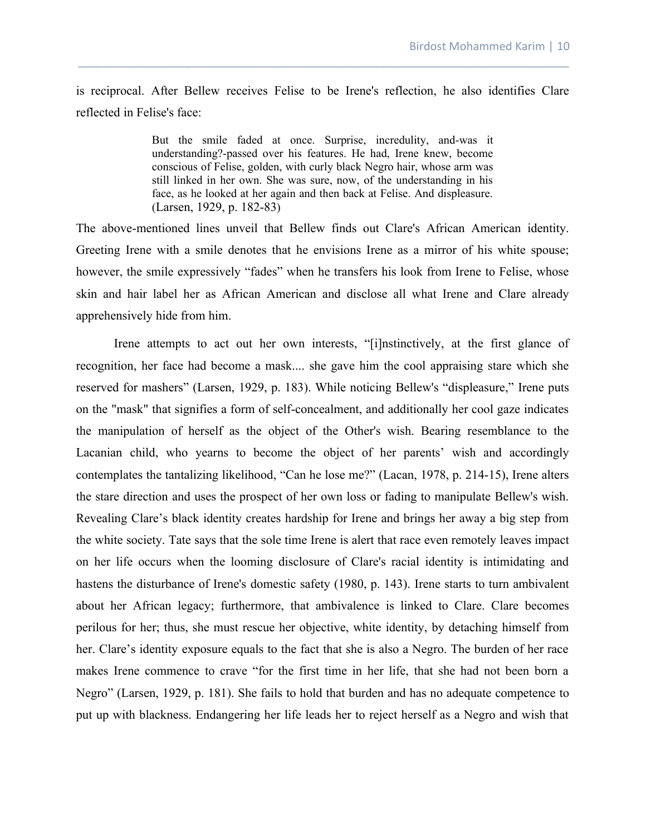is reciprocal. After Bellew receives Felise to be Irene's reflection, he also identifies Clare reflected in Felise's face:

\_\_\_\_\_\_\_\_\_\_\_\_\_\_\_\_\_\_\_\_\_\_\_\_\_\_\_\_\_\_\_\_\_\_\_\_\_\_\_\_\_\_\_\_\_\_\_\_\_\_\_\_\_\_\_\_\_\_\_\_\_\_\_\_\_\_\_\_\_\_\_\_\_\_\_\_\_\_

But the smile faded at once. Surprise, incredulity, and-was it understanding?-passed over his features. He had, Irene knew, become conscious of Felise, golden, with curly black Negro hair, whose arm was still linked in her own. She was sure, now, of the understanding in his face, as he looked at her again and then back at Felise. And displeasure. (Larsen, 1929, p. 182-83)

The above-mentioned lines unveil that Bellew finds out Clare's African American identity. Greeting Irene with a smile denotes that he envisions Irene as a mirror of his white spouse; however, the smile expressively "fades" when he transfers his look from Irene to Felise, whose skin and hair label her as African American and disclose all what Irene and Clare already apprehensively hide from him.

Irene attempts to act out her own interests, "[i]nstinctively, at the first glance of recognition, her face had become a mask.... she gave him the cool appraising stare which she reserved for mashers" (Larsen, 1929, p. 183). While noticing Bellew's "displeasure," Irene puts on the "mask" that signifies a form of self-concealment, and additionally her cool gaze indicates the manipulation of herself as the object of the Other's wish. Bearing resemblance to the Lacanian child, who yearns to become the object of her parents' wish and accordingly contemplates the tantalizing likelihood, "Can he lose me?" (Lacan, 1978, p. 214-15), Irene alters the stare direction and uses the prospect of her own loss or fading to manipulate Bellew's wish. Revealing Clare's black identity creates hardship for Irene and brings her away a big step from the white society. Tate says that the sole time Irene is alert that race even remotely leaves impact on her life occurs when the looming disclosure of Clare's racial identity is intimidating and hastens the disturbance of Irene's domestic safety (1980, p. 143). Irene starts to turn ambivalent about her African legacy; furthermore, that ambivalence is linked to Clare. Clare becomes perilous for her; thus, she must rescue her objective, white identity, by detaching himself from her. Clare's identity exposure equals to the fact that she is also a Negro. The burden of her race makes Irene commence to crave "for the first time in her life, that she had not been born a Negro" (Larsen, 1929, p. 181). She fails to hold that burden and has no adequate competence to put up with blackness. Endangering her life leads her to reject herself as a Negro and wish that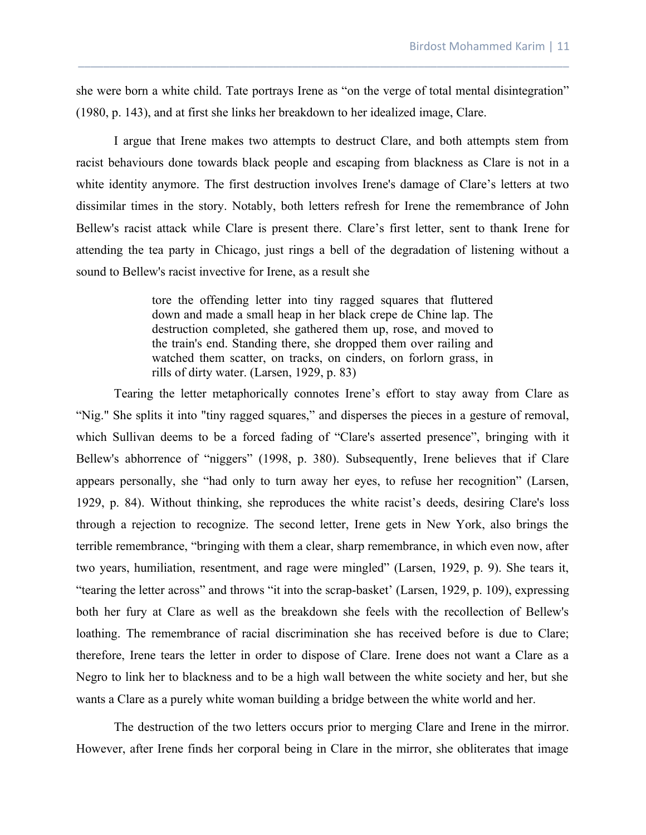she were born a white child. Tate portrays Irene as "on the verge of total mental disintegration" (1980, p. 143), and at first she links her breakdown to her idealized image, Clare.

\_\_\_\_\_\_\_\_\_\_\_\_\_\_\_\_\_\_\_\_\_\_\_\_\_\_\_\_\_\_\_\_\_\_\_\_\_\_\_\_\_\_\_\_\_\_\_\_\_\_\_\_\_\_\_\_\_\_\_\_\_\_\_\_\_\_\_\_\_\_\_\_\_\_\_\_\_\_

I argue that Irene makes two attempts to destruct Clare, and both attempts stem from racist behaviours done towards black people and escaping from blackness as Clare is not in a white identity anymore. The first destruction involves Irene's damage of Clare's letters at two dissimilar times in the story. Notably, both letters refresh for Irene the remembrance of John Bellew's racist attack while Clare is present there. Clare's first letter, sent to thank Irene for attending the tea party in Chicago, just rings a bell of the degradation of listening without a sound to Bellew's racist invective for Irene, as a result she

> tore the offending letter into tiny ragged squares that fluttered down and made a small heap in her black crepe de Chine lap. The destruction completed, she gathered them up, rose, and moved to the train's end. Standing there, she dropped them over railing and watched them scatter, on tracks, on cinders, on forlorn grass, in rills of dirty water. (Larsen, 1929, p. 83)

Tearing the letter metaphorically connotes Irene's effort to stay away from Clare as "Nig." She splits it into "tiny ragged squares," and disperses the pieces in a gesture of removal, which Sullivan deems to be a forced fading of "Clare's asserted presence", bringing with it Bellew's abhorrence of "niggers" (1998, p. 380). Subsequently, Irene believes that if Clare appears personally, she "had only to turn away her eyes, to refuse her recognition" (Larsen, 1929, p. 84). Without thinking, she reproduces the white racist's deeds, desiring Clare's loss through a rejection to recognize. The second letter, Irene gets in New York, also brings the terrible remembrance, "bringing with them a clear, sharp remembrance, in which even now, after two years, humiliation, resentment, and rage were mingled" (Larsen, 1929, p. 9). She tears it, "tearing the letter across" and throws "it into the scrap-basket' (Larsen, 1929, p. 109), expressing both her fury at Clare as well as the breakdown she feels with the recollection of Bellew's loathing. The remembrance of racial discrimination she has received before is due to Clare; therefore, Irene tears the letter in order to dispose of Clare. Irene does not want a Clare as a Negro to link her to blackness and to be a high wall between the white society and her, but she wants a Clare as a purely white woman building a bridge between the white world and her.

The destruction of the two letters occurs prior to merging Clare and Irene in the mirror. However, after Irene finds her corporal being in Clare in the mirror, she obliterates that image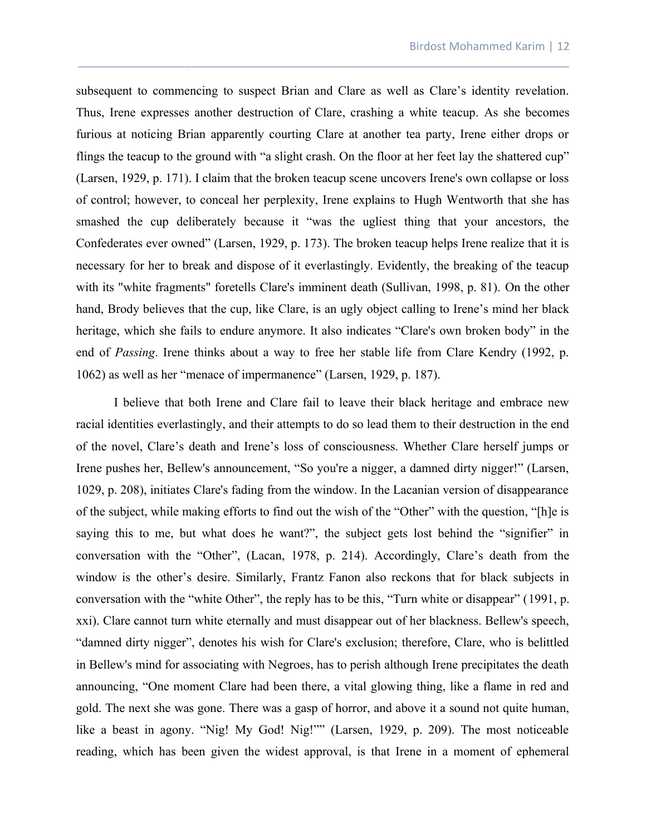subsequent to commencing to suspect Brian and Clare as well as Clare's identity revelation. Thus, Irene expresses another destruction of Clare, crashing a white teacup. As she becomes furious at noticing Brian apparently courting Clare at another tea party, Irene either drops or flings the teacup to the ground with "a slight crash. On the floor at her feet lay the shattered cup" (Larsen, 1929, p. 171). I claim that the broken teacup scene uncovers Irene's own collapse or loss of control; however, to conceal her perplexity, Irene explains to Hugh Wentworth that she has smashed the cup deliberately because it "was the ugliest thing that your ancestors, the Confederates ever owned" (Larsen, 1929, p. 173). The broken teacup helps Irene realize that it is necessary for her to break and dispose of it everlastingly. Evidently, the breaking of the teacup with its "white fragments" foretells Clare's imminent death (Sullivan, 1998, p. 81). On the other hand, Brody believes that the cup, like Clare, is an ugly object calling to Irene's mind her black heritage, which she fails to endure anymore. It also indicates "Clare's own broken body" in the end of *Passing*. Irene thinks about a way to free her stable life from Clare Kendry (1992, p. 1062) as well as her "menace of impermanence" (Larsen, 1929, p. 187).

\_\_\_\_\_\_\_\_\_\_\_\_\_\_\_\_\_\_\_\_\_\_\_\_\_\_\_\_\_\_\_\_\_\_\_\_\_\_\_\_\_\_\_\_\_\_\_\_\_\_\_\_\_\_\_\_\_\_\_\_\_\_\_\_\_\_\_\_\_\_\_\_\_\_\_\_\_\_

I believe that both Irene and Clare fail to leave their black heritage and embrace new racial identities everlastingly, and their attempts to do so lead them to their destruction in the end of the novel, Clare's death and Irene's loss of consciousness. Whether Clare herself jumps or Irene pushes her, Bellew's announcement, "So you're a nigger, a damned dirty nigger!" (Larsen, 1029, p. 208), initiates Clare's fading from the window. In the Lacanian version of disappearance of the subject, while making efforts to find out the wish of the "Other" with the question, "[h]e is saying this to me, but what does he want?", the subject gets lost behind the "signifier" in conversation with the "Other", (Lacan, 1978, p. 214). Accordingly, Clare's death from the window is the other's desire. Similarly, Frantz Fanon also reckons that for black subjects in conversation with the "white Other", the reply has to be this, "Turn white or disappear" (1991, p. xxi). Clare cannot turn white eternally and must disappear out of her blackness. Bellew's speech, "damned dirty nigger", denotes his wish for Clare's exclusion; therefore, Clare, who is belittled in Bellew's mind for associating with Negroes, has to perish although Irene precipitates the death announcing, "One moment Clare had been there, a vital glowing thing, like a flame in red and gold. The next she was gone. There was a gasp of horror, and above it a sound not quite human, like a beast in agony. "Nig! My God! Nig!"" (Larsen, 1929, p. 209). The most noticeable reading, which has been given the widest approval, is that Irene in a moment of ephemeral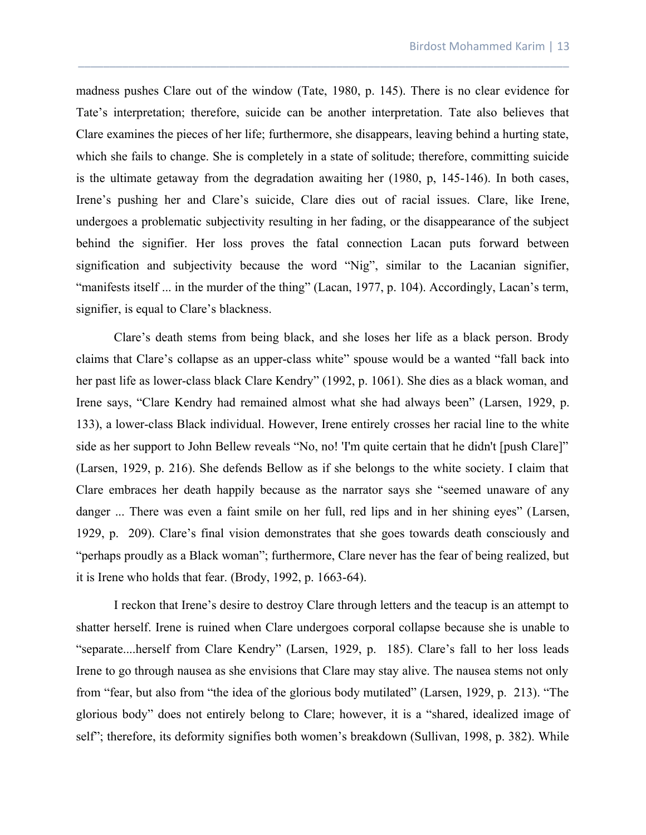madness pushes Clare out of the window (Tate, 1980, p. 145). There is no clear evidence for Tate's interpretation; therefore, suicide can be another interpretation. Tate also believes that Clare examines the pieces of her life; furthermore, she disappears, leaving behind a hurting state, which she fails to change. She is completely in a state of solitude; therefore, committing suicide is the ultimate getaway from the degradation awaiting her (1980, p, 145-146). In both cases, Irene's pushing her and Clare's suicide, Clare dies out of racial issues. Clare, like Irene, undergoes a problematic subjectivity resulting in her fading, or the disappearance of the subject behind the signifier. Her loss proves the fatal connection Lacan puts forward between signification and subjectivity because the word "Nig", similar to the Lacanian signifier, "manifests itself ... in the murder of the thing" (Lacan, 1977, p. 104). Accordingly, Lacan's term, signifier, is equal to Clare's blackness.

\_\_\_\_\_\_\_\_\_\_\_\_\_\_\_\_\_\_\_\_\_\_\_\_\_\_\_\_\_\_\_\_\_\_\_\_\_\_\_\_\_\_\_\_\_\_\_\_\_\_\_\_\_\_\_\_\_\_\_\_\_\_\_\_\_\_\_\_\_\_\_\_\_\_\_\_\_\_

Clare's death stems from being black, and she loses her life as a black person. Brody claims that Clare's collapse as an upper-class white" spouse would be a wanted "fall back into her past life as lower-class black Clare Kendry" (1992, p. 1061). She dies as a black woman, and Irene says, "Clare Kendry had remained almost what she had always been" (Larsen, 1929, p. 133), a lower-class Black individual. However, Irene entirely crosses her racial line to the white side as her support to John Bellew reveals "No, no! 'I'm quite certain that he didn't [push Clare]" (Larsen, 1929, p. 216). She defends Bellow as if she belongs to the white society. I claim that Clare embraces her death happily because as the narrator says she "seemed unaware of any danger ... There was even a faint smile on her full, red lips and in her shining eyes" (Larsen, 1929, p. 209). Clare's final vision demonstrates that she goes towards death consciously and "perhaps proudly as a Black woman"; furthermore, Clare never has the fear of being realized, but it is Irene who holds that fear. (Brody, 1992, p. 1663-64).

I reckon that Irene's desire to destroy Clare through letters and the teacup is an attempt to shatter herself. Irene is ruined when Clare undergoes corporal collapse because she is unable to "separate....herself from Clare Kendry" (Larsen, 1929, p. 185). Clare's fall to her loss leads Irene to go through nausea as she envisions that Clare may stay alive. The nausea stems not only from "fear, but also from "the idea of the glorious body mutilated" (Larsen, 1929, p. 213). "The glorious body" does not entirely belong to Clare; however, it is a "shared, idealized image of self"; therefore, its deformity signifies both women's breakdown (Sullivan, 1998, p. 382). While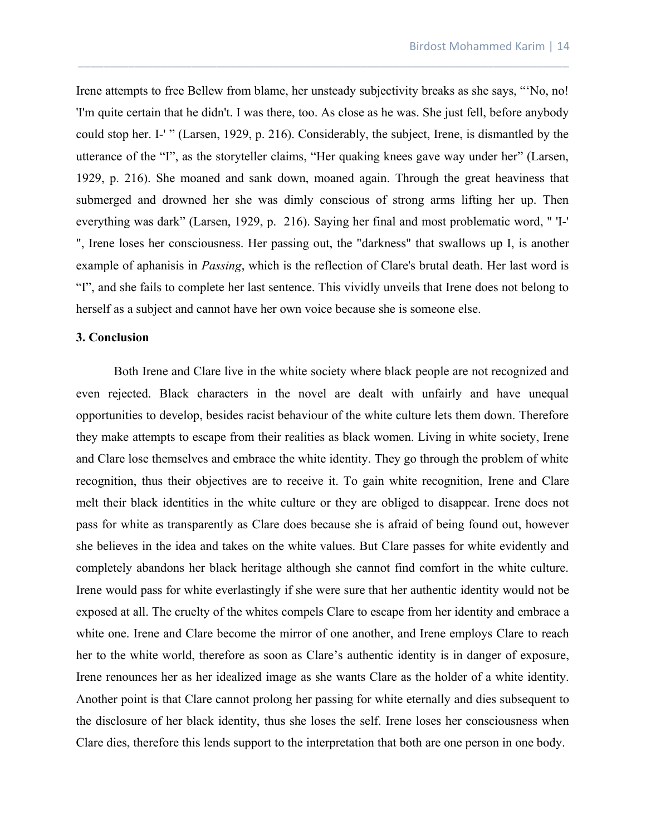Irene attempts to free Bellew from blame, her unsteady subjectivity breaks as she says, "'No, no! 'I'm quite certain that he didn't. I was there, too. As close as he was. She just fell, before anybody could stop her. I-' " (Larsen, 1929, p. 216). Considerably, the subject, Irene, is dismantled by the utterance of the "I", as the storyteller claims, "Her quaking knees gave way under her" (Larsen, 1929, p. 216). She moaned and sank down, moaned again. Through the great heaviness that submerged and drowned her she was dimly conscious of strong arms lifting her up. Then everything was dark" (Larsen, 1929, p. 216). Saying her final and most problematic word, " 'I-' ", Irene loses her consciousness. Her passing out, the "darkness" that swallows up I, is another example of aphanisis in *Passing*, which is the reflection of Clare's brutal death. Her last word is "I", and she fails to complete her last sentence. This vividly unveils that Irene does not belong to herself as a subject and cannot have her own voice because she is someone else.

\_\_\_\_\_\_\_\_\_\_\_\_\_\_\_\_\_\_\_\_\_\_\_\_\_\_\_\_\_\_\_\_\_\_\_\_\_\_\_\_\_\_\_\_\_\_\_\_\_\_\_\_\_\_\_\_\_\_\_\_\_\_\_\_\_\_\_\_\_\_\_\_\_\_\_\_\_\_

### **3. Conclusion**

Both Irene and Clare live in the white society where black people are not recognized and even rejected. Black characters in the novel are dealt with unfairly and have unequal opportunities to develop, besides racist behaviour of the white culture lets them down. Therefore they make attempts to escape from their realities as black women. Living in white society, Irene and Clare lose themselves and embrace the white identity. They go through the problem of white recognition, thus their objectives are to receive it. To gain white recognition, Irene and Clare melt their black identities in the white culture or they are obliged to disappear. Irene does not pass for white as transparently as Clare does because she is afraid of being found out, however she believes in the idea and takes on the white values. But Clare passes for white evidently and completely abandons her black heritage although she cannot find comfort in the white culture. Irene would pass for white everlastingly if she were sure that her authentic identity would not be exposed at all. The cruelty of the whites compels Clare to escape from her identity and embrace a white one. Irene and Clare become the mirror of one another, and Irene employs Clare to reach her to the white world, therefore as soon as Clare's authentic identity is in danger of exposure, Irene renounces her as her idealized image as she wants Clare as the holder of a white identity. Another point is that Clare cannot prolong her passing for white eternally and dies subsequent to the disclosure of her black identity, thus she loses the self. Irene loses her consciousness when Clare dies, therefore this lends support to the interpretation that both are one person in one body.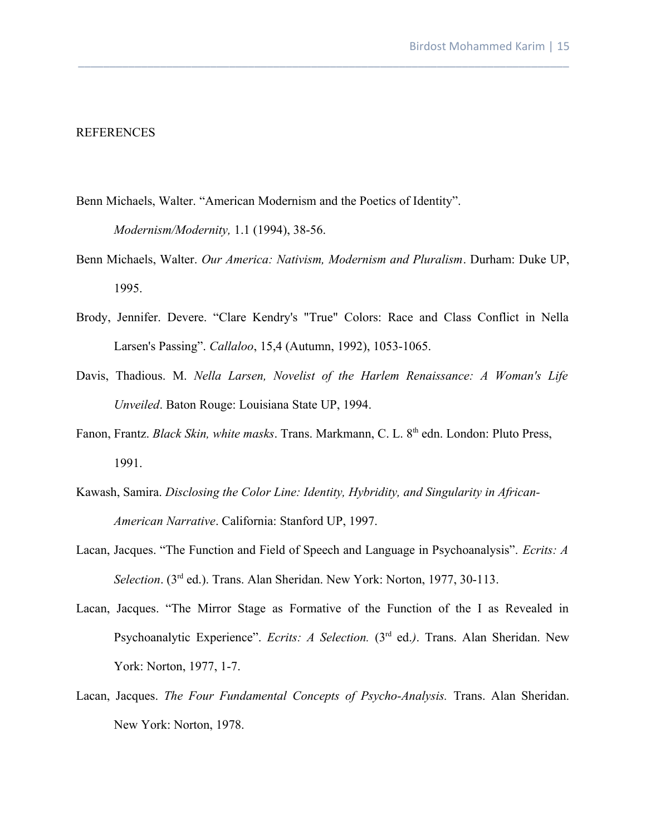# REFERENCES

Benn Michaels, Walter. "American Modernism and the Poetics of Identity".

*Modernism/Modernity,* 1.1 (1994), 38-56.

Benn Michaels, Walter. *Our America: Nativism, Modernism and Pluralism*. Durham: Duke UP, 1995.

\_\_\_\_\_\_\_\_\_\_\_\_\_\_\_\_\_\_\_\_\_\_\_\_\_\_\_\_\_\_\_\_\_\_\_\_\_\_\_\_\_\_\_\_\_\_\_\_\_\_\_\_\_\_\_\_\_\_\_\_\_\_\_\_\_\_\_\_\_\_\_\_\_\_\_\_\_\_

- Brody, Jennifer. Devere. "Clare Kendry's "True" Colors: Race and Class Conflict in Nella Larsen's Passing". *Callaloo*, 15,4 (Autumn, 1992), 1053-1065.
- Davis, Thadious. M. *Nella Larsen, Novelist of the Harlem Renaissance: A Woman's Life Unveiled*. Baton Rouge: Louisiana State UP, 1994.
- Fanon, Frantz. *Black Skin, white masks*. Trans. Markmann, C. L. 8<sup>th</sup> edn. London: Pluto Press, 1991.
- Kawash, Samira. *Disclosing the Color Line: Identity, Hybridity, and Singularity in African-American Narrative*. California: Stanford UP, 1997.
- Lacan, Jacques. "The Function and Field of Speech and Language in Psychoanalysis". *Ecrits: A Selection*. (3rd ed.). Trans. Alan Sheridan. New York: Norton, 1977, 30-113.
- Lacan, Jacques. "The Mirror Stage as Formative of the Function of the I as Revealed in Psychoanalytic Experience". *Ecrits: A Selection.* (3<sup>rd</sup> ed.). Trans. Alan Sheridan. New York: Norton, 1977, 1-7.
- Lacan, Jacques. *The Four Fundamental Concepts of Psycho-Analysis.* Trans. Alan Sheridan. New York: Norton, 1978.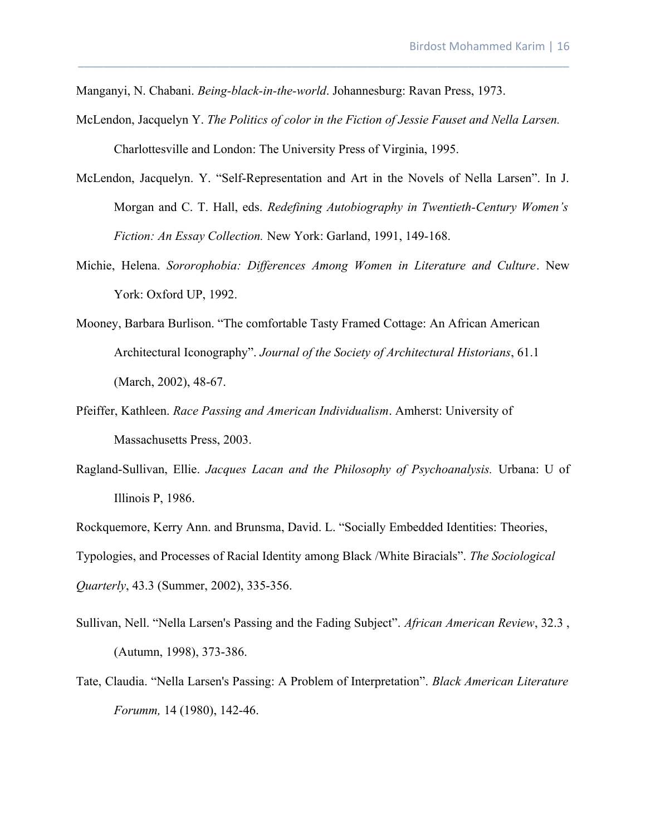- Manganyi, N. Chabani. *Being-black-in-the-world*. Johannesburg: Ravan Press, 1973.
- McLendon, Jacquelyn Y. *The Politics of color in the Fiction of Jessie Fauset and Nella Larsen.* Charlottesville and London: The University Press of Virginia, 1995.

\_\_\_\_\_\_\_\_\_\_\_\_\_\_\_\_\_\_\_\_\_\_\_\_\_\_\_\_\_\_\_\_\_\_\_\_\_\_\_\_\_\_\_\_\_\_\_\_\_\_\_\_\_\_\_\_\_\_\_\_\_\_\_\_\_\_\_\_\_\_\_\_\_\_\_\_\_\_

- McLendon, Jacquelyn. Y. "Self-Representation and Art in the Novels of Nella Larsen". In J. Morgan and C. T. Hall, eds. *Redefining Autobiography in Twentieth-Century Women's Fiction: An Essay Collection.* New York: Garland, 1991, 149-168.
- Michie, Helena. *Sororophobia: Differences Among Women in Literature and Culture*. New York: Oxford UP, 1992.
- Mooney, Barbara Burlison. "The comfortable Tasty Framed Cottage: An African American Architectural Iconography". *Journal of the Society of Architectural Historians*, 61.1 (March, 2002), 48-67.
- Pfeiffer, Kathleen. *Race Passing and American Individualism*. Amherst: University of Massachusetts Press, 2003.
- Ragland-Sullivan, Ellie. *Jacques Lacan and the Philosophy of Psychoanalysis.* Urbana: U of Illinois P, 1986.

Rockquemore, Kerry Ann. and Brunsma, David. L. "Socially Embedded Identities: Theories, Typologies, and Processes of Racial Identity among Black /White Biracials". *The Sociological Quarterly*, 43.3 (Summer, 2002), 335-356.

- Sullivan, Nell. "Nella Larsen's Passing and the Fading Subject". *African American Review*, 32.3 , (Autumn, 1998), 373-386.
- Tate, Claudia. "Nella Larsen's Passing: A Problem of Interpretation". *Black American Literature Forumm,* 14 (1980), 142-46.